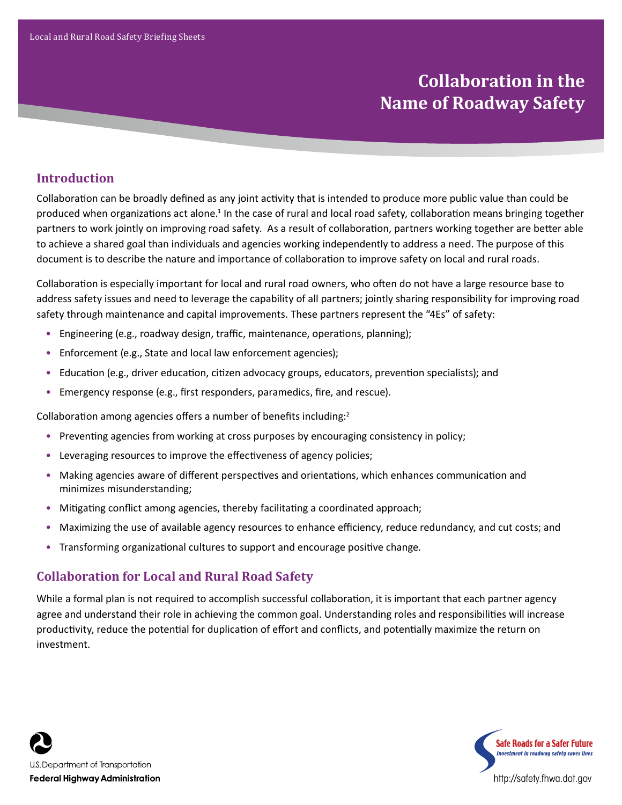# **Collaboration in the Name of Roadway Safety**

# **Introduction**

Collaboration can be broadly defined as any joint activity that is intended to produce more public value than could be produced when organizations act alone.<sup>1</sup> In the case of rural and local road safety, collaboration means bringing together partners to work jointly on improving road safety. As a result of collaboration, partners working together are better able to achieve a shared goal than individuals and agencies working independently to address a need. The purpose of this document is to describe the nature and importance of collaboration to improve safety on local and rural roads.

Collaboration is especially important for local and rural road owners, who often do not have a large resource base to address safety issues and need to leverage the capability of all partners; jointly sharing responsibility for improving road safety through maintenance and capital improvements. These partners represent the "4Es" of safety:

- Engineering (e.g., roadway design, traffic, maintenance, operations, planning);
- Enforcement (e.g., State and local law enforcement agencies);
- Education (e.g., driver education, citizen advocacy groups, educators, prevention specialists); and
- Emergency response (e.g., first responders, paramedics, fire, and rescue).

Collaboration among agencies offers a number of benefits including:<sup>2</sup>

- Preventing agencies from working at cross purposes by encouraging consistency in policy;
- Leveraging resources to improve the effectiveness of agency policies;
- Making agencies aware of different perspectives and orientations, which enhances communication and minimizes misunderstanding;
- Mitigating conflict among agencies, thereby facilitating a coordinated approach;
- Maximizing the use of available agency resources to enhance efficiency, reduce redundancy, and cut costs; and
- Transforming organizational cultures to support and encourage positive change.

## **Collaboration for Local and Rural Road Safety**

While a formal plan is not required to accomplish successful collaboration, it is important that each partner agency agree and understand their role in achieving the common goal. Understanding roles and responsibilities will increase productivity, reduce the potential for duplication of effort and conflicts, and potentially maximize the return on investment.



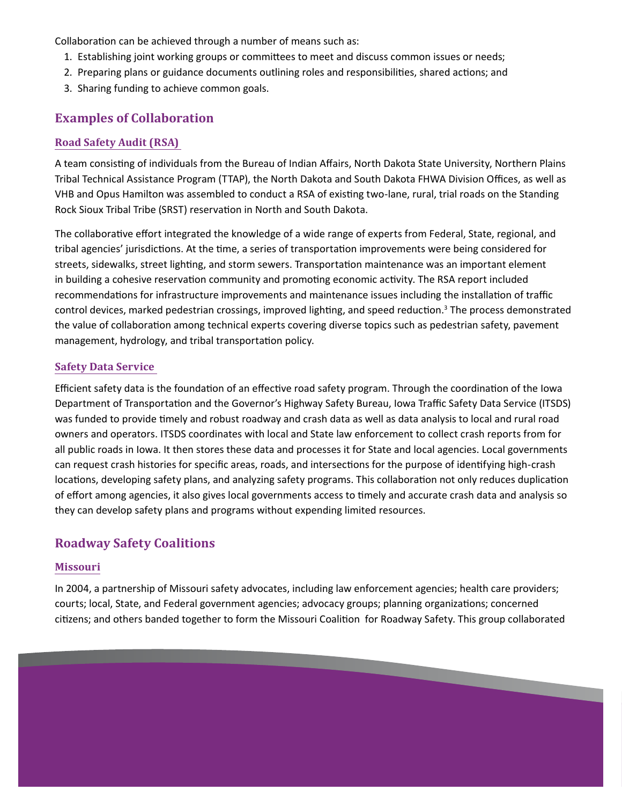Collaboration can be achieved through a number of means such as:

- 1. Establishing joint working groups or committees to meet and discuss common issues or needs;
- 2. Preparing plans or guidance documents outlining roles and responsibilities, shared actions; and
- 3. Sharing funding to achieve common goals.

## **Examples of Collaboration**

#### **Road Safety Audit (RSA)**

A team consisting of individuals from the Bureau of Indian Affairs, North Dakota State University, Northern Plains Tribal Technical Assistance Program (TTAP), the North Dakota and South Dakota FHWA Division Offices, as well as VHB and Opus Hamilton was assembled to conduct a RSA of existing two-lane, rural, trial roads on the Standing Rock Sioux Tribal Tribe (SRST) reservation in North and South Dakota.

The collaborative effort integrated the knowledge of a wide range of experts from Federal, State, regional, and tribal agencies' jurisdictions. At the time, a series of transportation improvements were being considered for streets, sidewalks, street lighting, and storm sewers. Transportation maintenance was an important element in building a cohesive reservation community and promoting economic activity. The RSA report included recommendations for infrastructure improvements and maintenance issues including the installation of traffic control devices, marked pedestrian crossings, improved lighting, and speed reduction.<sup>3</sup> The process demonstrated the value of collaboration among technical experts covering diverse topics such as pedestrian safety, pavement management, hydrology, and tribal transportation policy.

#### **Safety Data Service**

Efficient safety data is the foundation of an effective road safety program. Through the coordination of the Iowa Department of Transportation and the Governor's Highway Safety Bureau, Iowa Traffic Safety Data Service (ITSDS) was funded to provide timely and robust roadway and crash data as well as data analysis to local and rural road owners and operators. ITSDS coordinates with local and State law enforcement to collect crash reports from for all public roads in Iowa. It then stores these data and processes it for State and local agencies. Local governments can request crash histories for specific areas, roads, and intersections for the purpose of identifying high-crash locations, developing safety plans, and analyzing safety programs. This collaboration not only reduces duplication of effort among agencies, it also gives local governments access to timely and accurate crash data and analysis so they can develop safety plans and programs without expending limited resources.

## **Roadway Safety Coalitions**

#### **Missouri**

In 2004, a partnership of Missouri safety advocates, including law enforcement agencies; health care providers; courts; local, State, and Federal government agencies; advocacy groups; planning organizations; concerned citizens; and others banded together to form the Missouri Coalition for Roadway Safety. This group collaborated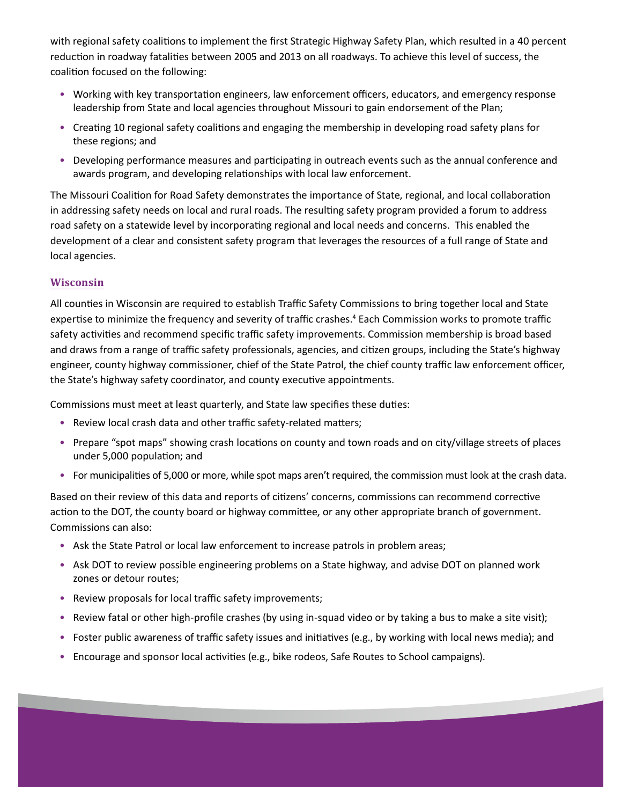with regional safety coalitions to implement the first Strategic Highway Safety Plan, which resulted in a 40 percent reduction in roadway fatalities between 2005 and 2013 on all roadways. To achieve this level of success, the coalition focused on the following:

- Working with key transportation engineers, law enforcement officers, educators, and emergency response leadership from State and local agencies throughout Missouri to gain endorsement of the Plan;
- Creating 10 regional safety coalitions and engaging the membership in developing road safety plans for these regions; and
- Developing performance measures and participating in outreach events such as the annual conference and awards program, and developing relationships with local law enforcement.

The Missouri Coalition for Road Safety demonstrates the importance of State, regional, and local collaboration in addressing safety needs on local and rural roads. The resulting safety program provided a forum to address road safety on a statewide level by incorporating regional and local needs and concerns. This enabled the development of a clear and consistent safety program that leverages the resources of a full range of State and local agencies.

#### **Wisconsin**

All counties in Wisconsin are required to establish Traffic Safety Commissions to bring together local and State expertise to minimize the frequency and severity of traffic crashes.<sup>4</sup> Each Commission works to promote traffic safety activities and recommend specific traffic safety improvements. Commission membership is broad based and draws from a range of traffic safety professionals, agencies, and citizen groups, including the State's highway engineer, county highway commissioner, chief of the State Patrol, the chief county traffic law enforcement officer, the State's highway safety coordinator, and county executive appointments.

Commissions must meet at least quarterly, and State law specifies these duties:

- Review local crash data and other traffic safety-related matters;
- Prepare "spot maps" showing crash locations on county and town roads and on city/village streets of places under 5,000 population; and
- For municipalities of 5,000 or more, while spot maps aren't required, the commission must look at the crash data.

Based on their review of this data and reports of citizens' concerns, commissions can recommend corrective action to the DOT, the county board or highway committee, or any other appropriate branch of government. Commissions can also:

- Ask the State Patrol or local law enforcement to increase patrols in problem areas;
- Ask DOT to review possible engineering problems on a State highway, and advise DOT on planned work zones or detour routes;
- Review proposals for local traffic safety improvements;
- Review fatal or other high-profile crashes (by using in-squad video or by taking a bus to make a site visit);
- Foster public awareness of traffic safety issues and initiatives (e.g., by working with local news media); and
- Encourage and sponsor local activities (e.g., bike rodeos, Safe Routes to School campaigns).